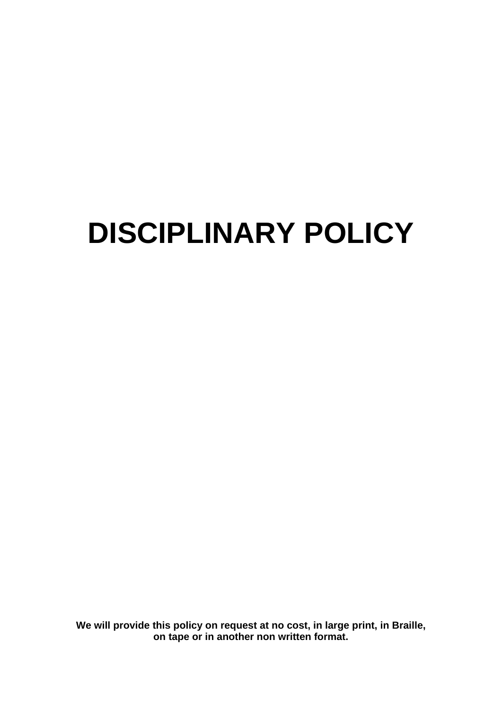# **DISCIPLINARY POLICY**

**We will provide this policy on request at no cost, in large print, in Braille, on tape or in another non written format.**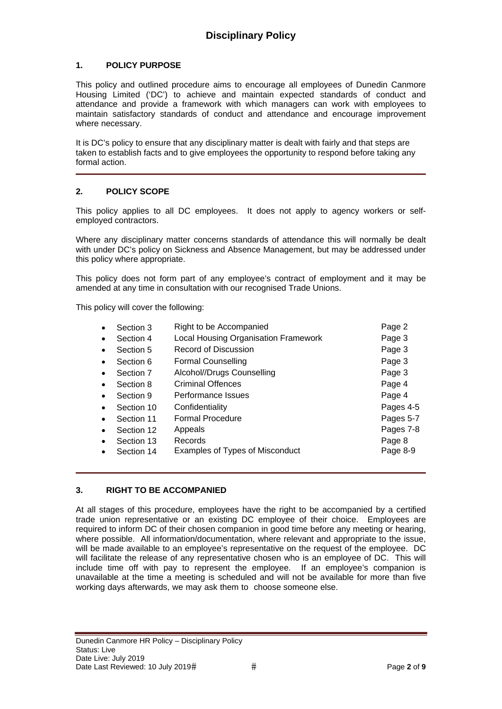# **1. POLICY PURPOSE**

This policy and outlined procedure aims to encourage all employees of Dunedin Canmore Housing Limited ('DC') to achieve and maintain expected standards of conduct and attendance and provide a framework with which managers can work with employees to maintain satisfactory standards of conduct and attendance and encourage improvement where necessary.

It is DC's policy to ensure that any disciplinary matter is dealt with fairly and that steps are taken to establish facts and to give employees the opportunity to respond before taking any formal action.

# **2. POLICY SCOPE**

This policy applies to all DC employees. It does not apply to agency workers or selfemployed contractors.

Where any disciplinary matter concerns standards of attendance this will normally be dealt with under DC's policy on Sickness and Absence Management, but may be addressed under this policy where appropriate.

This policy does not form part of any employee's contract of employment and it may be amended at any time in consultation with our recognised Trade Unions.

This policy will cover the following:

| $\bullet$ | Section 3  | Right to be Accompanied              | Page 2    |
|-----------|------------|--------------------------------------|-----------|
| $\bullet$ | Section 4  | Local Housing Organisation Framework | Page 3    |
| $\bullet$ | Section 5  | Record of Discussion                 | Page 3    |
| $\bullet$ | Section 6  | <b>Formal Counselling</b>            | Page 3    |
|           | Section 7  | Alcohol//Drugs Counselling           | Page 3    |
| $\bullet$ | Section 8  | <b>Criminal Offences</b>             | Page 4    |
|           | Section 9  | Performance Issues                   | Page 4    |
| $\bullet$ | Section 10 | Confidentiality                      | Pages 4-5 |
| $\bullet$ | Section 11 | <b>Formal Procedure</b>              | Pages 5-7 |
| $\bullet$ | Section 12 | Appeals                              | Pages 7-8 |
| $\bullet$ | Section 13 | Records                              | Page 8    |
|           | Section 14 | Examples of Types of Misconduct      | Page 8-9  |

# **3. RIGHT TO BE ACCOMPANIED**

At all stages of this procedure, employees have the right to be accompanied by a certified trade union representative or an existing DC employee of their choice. Employees are required to inform DC of their chosen companion in good time before any meeting or hearing, where possible. All information/documentation, where relevant and appropriate to the issue, will be made available to an employee's representative on the request of the employee. DC will facilitate the release of any representative chosen who is an employee of DC. This will include time off with pay to represent the employee. If an employee's companion is unavailable at the time a meeting is scheduled and will not be available for more than five working days afterwards, we may ask them to choose someone else.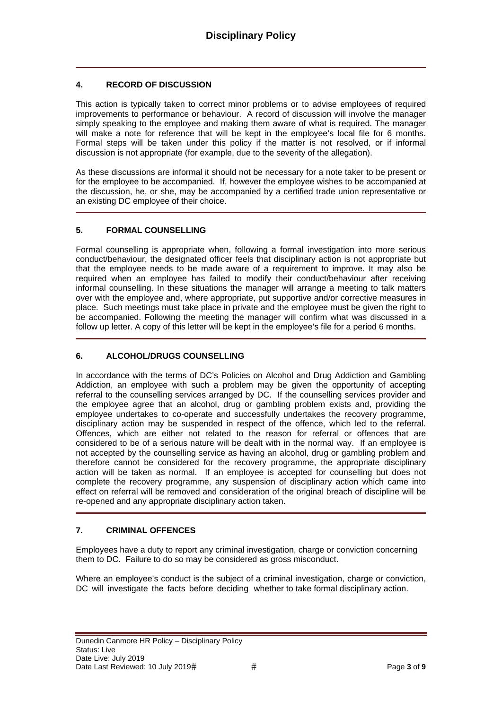# **4. RECORD OF DISCUSSION**

This action is typically taken to correct minor problems or to advise employees of required improvements to performance or behaviour. A record of discussion will involve the manager simply speaking to the employee and making them aware of what is required. The manager will make a note for reference that will be kept in the employee's local file for 6 months. Formal steps will be taken under this policy if the matter is not resolved, or if informal discussion is not appropriate (for example, due to the severity of the allegation).

As these discussions are informal it should not be necessary for a note taker to be present or for the employee to be accompanied. If, however the employee wishes to be accompanied at the discussion, he, or she, may be accompanied by a certified trade union representative or an existing DC employee of their choice.

# **5. FORMAL COUNSELLING**

Formal counselling is appropriate when, following a formal investigation into more serious conduct/behaviour, the designated officer feels that disciplinary action is not appropriate but that the employee needs to be made aware of a requirement to improve. It may also be required when an employee has failed to modify their conduct/behaviour after receiving informal counselling. In these situations the manager will arrange a meeting to talk matters over with the employee and, where appropriate, put supportive and/or corrective measures in place. Such meetings must take place in private and the employee must be given the right to be accompanied. Following the meeting the manager will confirm what was discussed in a follow up letter. A copy of this letter will be kept in the employee's file for a period 6 months.

# **6. ALCOHOL/DRUGS COUNSELLING**

In accordance with the terms of DC's Policies on Alcohol and Drug Addiction and Gambling Addiction, an employee with such a problem may be given the opportunity of accepting referral to the counselling services arranged by DC. If the counselling services provider and the employee agree that an alcohol, drug or gambling problem exists and, providing the employee undertakes to co-operate and successfully undertakes the recovery programme, disciplinary action may be suspended in respect of the offence, which led to the referral. Offences, which are either not related to the reason for referral or offences that are considered to be of a serious nature will be dealt with in the normal way. If an employee is not accepted by the counselling service as having an alcohol, drug or gambling problem and therefore cannot be considered for the recovery programme, the appropriate disciplinary action will be taken as normal. If an employee is accepted for counselling but does not complete the recovery programme, any suspension of disciplinary action which came into effect on referral will be removed and consideration of the original breach of discipline will be re-opened and any appropriate disciplinary action taken.

# **7. CRIMINAL OFFENCES**

Employees have a duty to report any criminal investigation, charge or conviction concerning them to DC. Failure to do so may be considered as gross misconduct.

Where an employee's conduct is the subject of a criminal investigation, charge or conviction, DC will investigate the facts before deciding whether to take formal disciplinary action.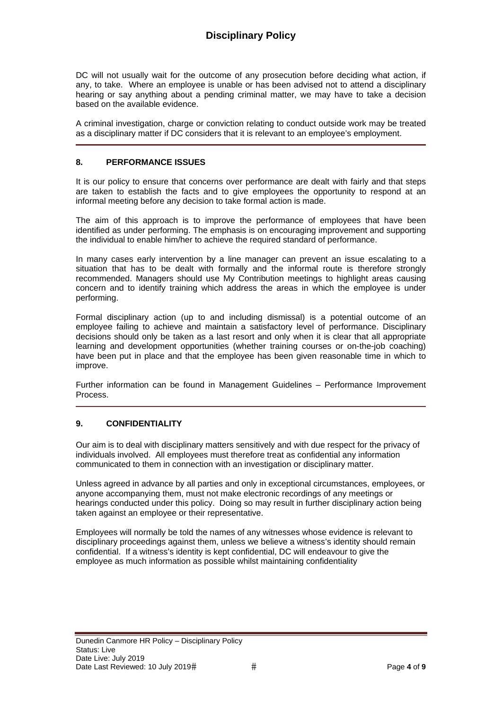DC will not usually wait for the outcome of any prosecution before deciding what action, if any, to take. Where an employee is unable or has been advised not to attend a disciplinary hearing or say anything about a pending criminal matter, we may have to take a decision based on the available evidence.

A criminal investigation, charge or conviction relating to conduct outside work may be treated as a disciplinary matter if DC considers that it is relevant to an employee's employment.

#### **8. PERFORMANCE ISSUES**

It is our policy to ensure that concerns over performance are dealt with fairly and that steps are taken to establish the facts and to give employees the opportunity to respond at an informal meeting before any decision to take formal action is made.

The aim of this approach is to improve the performance of employees that have been identified as under performing. The emphasis is on encouraging improvement and supporting the individual to enable him/her to achieve the required standard of performance.

In many cases early intervention by a line manager can prevent an issue escalating to a situation that has to be dealt with formally and the informal route is therefore strongly recommended. Managers should use My Contribution meetings to highlight areas causing concern and to identify training which address the areas in which the employee is under performing.

Formal disciplinary action (up to and including dismissal) is a potential outcome of an employee failing to achieve and maintain a satisfactory level of performance. Disciplinary decisions should only be taken as a last resort and only when it is clear that all appropriate learning and development opportunities (whether training courses or on-the-job coaching) have been put in place and that the employee has been given reasonable time in which to improve.

Further information can be found in Management Guidelines – Performance Improvement Process.

#### **9. CONFIDENTIALITY**

Our aim is to deal with disciplinary matters sensitively and with due respect for the privacy of individuals involved. All employees must therefore treat as confidential any information communicated to them in connection with an investigation or disciplinary matter.

Unless agreed in advance by all parties and only in exceptional circumstances, employees, or anyone accompanying them, must not make electronic recordings of any meetings or hearings conducted under this policy. Doing so may result in further disciplinary action being taken against an employee or their representative.

Employees will normally be told the names of any witnesses whose evidence is relevant to disciplinary proceedings against them, unless we believe a witness's identity should remain confidential. If a witness's identity is kept confidential, DC will endeavour to give the employee as much information as possible whilst maintaining confidentiality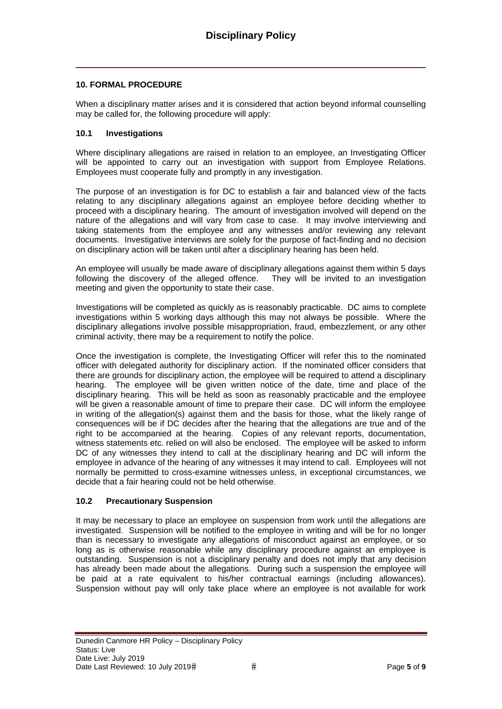#### **10. FORMAL PROCEDURE**

When a disciplinary matter arises and it is considered that action beyond informal counselling may be called for, the following procedure will apply:

#### **10.1 Investigations**

Where disciplinary allegations are raised in relation to an employee, an Investigating Officer will be appointed to carry out an investigation with support from Employee Relations. Employees must cooperate fully and promptly in any investigation.

The purpose of an investigation is for DC to establish a fair and balanced view of the facts relating to any disciplinary allegations against an employee before deciding whether to proceed with a disciplinary hearing. The amount of investigation involved will depend on the nature of the allegations and will vary from case to case. It may involve interviewing and taking statements from the employee and any witnesses and/or reviewing any relevant documents. Investigative interviews are solely for the purpose of fact-finding and no decision on disciplinary action will be taken until after a disciplinary hearing has been held.

An employee will usually be made aware of disciplinary allegations against them within 5 days following the discovery of the alleged offence. They will be invited to an investigation meeting and given the opportunity to state their case.

Investigations will be completed as quickly as is reasonably practicable. DC aims to complete investigations within 5 working days although this may not always be possible. Where the disciplinary allegations involve possible misappropriation, fraud, embezzlement, or any other criminal activity, there may be a requirement to notify the police.

Once the investigation is complete, the Investigating Officer will refer this to the nominated officer with delegated authority for disciplinary action. If the nominated officer considers that there are grounds for disciplinary action, the employee will be required to attend a disciplinary hearing. The employee will be given written notice of the date, time and place of the disciplinary hearing. This will be held as soon as reasonably practicable and the employee will be given a reasonable amount of time to prepare their case. DC will inform the employee in writing of the allegation(s) against them and the basis for those, what the likely range of consequences will be if DC decides after the hearing that the allegations are true and of the right to be accompanied at the hearing. Copies of any relevant reports, documentation, witness statements etc. relied on will also be enclosed. The employee will be asked to inform DC of any witnesses they intend to call at the disciplinary hearing and DC will inform the employee in advance of the hearing of any witnesses it may intend to call. Employees will not normally be permitted to cross-examine witnesses unless, in exceptional circumstances, we decide that a fair hearing could not be held otherwise.

#### **10.2 Precautionary Suspension**

It may be necessary to place an employee on suspension from work until the allegations are investigated. Suspension will be notified to the employee in writing and will be for no longer than is necessary to investigate any allegations of misconduct against an employee, or so long as is otherwise reasonable while any disciplinary procedure against an employee is outstanding. Suspension is not a disciplinary penalty and does not imply that any decision has already been made about the allegations. During such a suspension the employee will be paid at a rate equivalent to his/her contractual earnings (including allowances). Suspension without pay will only take place where an employee is not available for work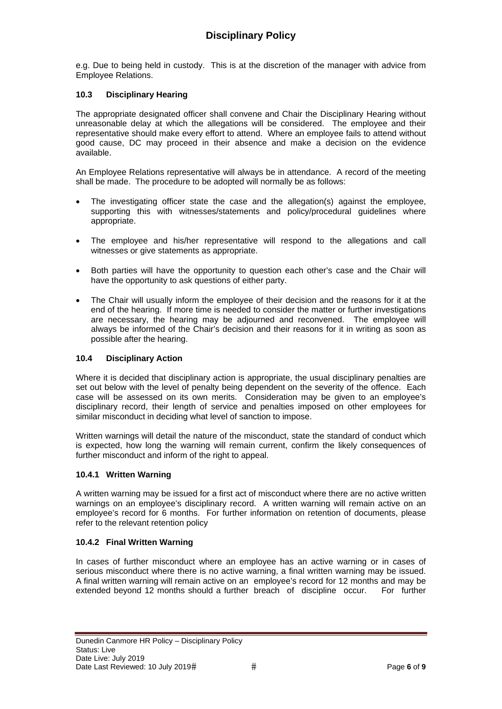e.g. Due to being held in custody. This is at the discretion of the manager with advice from Employee Relations.

# **10.3 Disciplinary Hearing**

The appropriate designated officer shall convene and Chair the Disciplinary Hearing without unreasonable delay at which the allegations will be considered. The employee and their representative should make every effort to attend. Where an employee fails to attend without good cause, DC may proceed in their absence and make a decision on the evidence available.

An Employee Relations representative will always be in attendance. A record of the meeting shall be made. The procedure to be adopted will normally be as follows:

- The investigating officer state the case and the allegation(s) against the employee, supporting this with witnesses/statements and policy/procedural quidelines where appropriate.
- The employee and his/her representative will respond to the allegations and call witnesses or give statements as appropriate.
- Both parties will have the opportunity to question each other's case and the Chair will have the opportunity to ask questions of either party.
- The Chair will usually inform the employee of their decision and the reasons for it at the end of the hearing. If more time is needed to consider the matter or further investigations are necessary, the hearing may be adjourned and reconvened. The employee will always be informed of the Chair's decision and their reasons for it in writing as soon as possible after the hearing.

#### **10.4 Disciplinary Action**

Where it is decided that disciplinary action is appropriate, the usual disciplinary penalties are set out below with the level of penalty being dependent on the severity of the offence. Each case will be assessed on its own merits. Consideration may be given to an employee's disciplinary record, their length of service and penalties imposed on other employees for similar misconduct in deciding what level of sanction to impose.

Written warnings will detail the nature of the misconduct, state the standard of conduct which is expected, how long the warning will remain current, confirm the likely consequences of further misconduct and inform of the right to appeal.

# **10.4.1 Written Warning**

A written warning may be issued for a first act of misconduct where there are no active written warnings on an employee's disciplinary record. A written warning will remain active on an employee's record for 6 months. For further information on retention of documents, please refer to the relevant retention policy

# **10.4.2 Final Written Warning**

In cases of further misconduct where an employee has an active warning or in cases of serious misconduct where there is no active warning, a final written warning may be issued. A final written warning will remain active on an employee's record for 12 months and may be extended beyond 12 months should a further breach of discipline occur. For further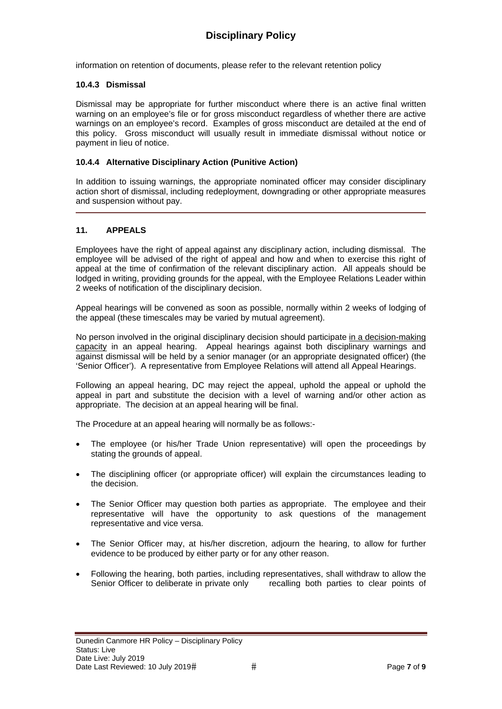information on retention of documents, please refer to the relevant retention policy

#### **10.4.3 Dismissal**

Dismissal may be appropriate for further misconduct where there is an active final written warning on an employee's file or for gross misconduct regardless of whether there are active warnings on an employee's record. Examples of gross misconduct are detailed at the end of this policy. Gross misconduct will usually result in immediate dismissal without notice or payment in lieu of notice.

#### **10.4.4 Alternative Disciplinary Action (Punitive Action)**

In addition to issuing warnings, the appropriate nominated officer may consider disciplinary action short of dismissal, including redeployment, downgrading or other appropriate measures and suspension without pay.

#### **11. APPEALS**

Employees have the right of appeal against any disciplinary action, including dismissal. The employee will be advised of the right of appeal and how and when to exercise this right of appeal at the time of confirmation of the relevant disciplinary action. All appeals should be lodged in writing, providing grounds for the appeal, with the Employee Relations Leader within 2 weeks of notification of the disciplinary decision.

Appeal hearings will be convened as soon as possible, normally within 2 weeks of lodging of the appeal (these timescales may be varied by mutual agreement).

No person involved in the original disciplinary decision should participate in a decision-making capacity in an appeal hearing. Appeal hearings against both disciplinary warnings and against dismissal will be held by a senior manager (or an appropriate designated officer) (the 'Senior Officer'). A representative from Employee Relations will attend all Appeal Hearings.

Following an appeal hearing, DC may reject the appeal, uphold the appeal or uphold the appeal in part and substitute the decision with a level of warning and/or other action as appropriate. The decision at an appeal hearing will be final.

The Procedure at an appeal hearing will normally be as follows:-

- The employee (or his/her Trade Union representative) will open the proceedings by stating the grounds of appeal.
- The disciplining officer (or appropriate officer) will explain the circumstances leading to the decision.
- The Senior Officer may question both parties as appropriate. The employee and their representative will have the opportunity to ask questions of the management representative and vice versa.
- The Senior Officer may, at his/her discretion, adjourn the hearing, to allow for further evidence to be produced by either party or for any other reason.
- Following the hearing, both parties, including representatives, shall withdraw to allow the Senior Officer to deliberate in private only recalling both parties to clear points of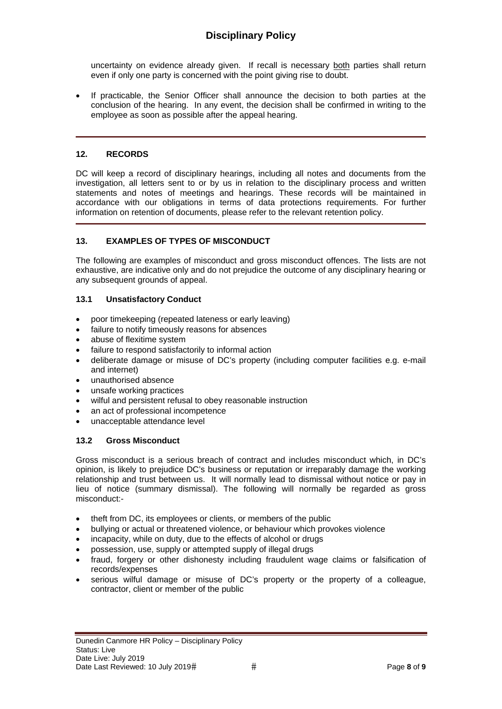# **Disciplinary Policy**

uncertainty on evidence already given. If recall is necessary both parties shall return even if only one party is concerned with the point giving rise to doubt.

 If practicable, the Senior Officer shall announce the decision to both parties at the conclusion of the hearing. In any event, the decision shall be confirmed in writing to the employee as soon as possible after the appeal hearing.

#### **12. RECORDS**

DC will keep a record of disciplinary hearings, including all notes and documents from the investigation, all letters sent to or by us in relation to the disciplinary process and written statements and notes of meetings and hearings. These records will be maintained in accordance with our obligations in terms of data protections requirements. For further information on retention of documents, please refer to the relevant retention policy.

#### **13. EXAMPLES OF TYPES OF MISCONDUCT**

The following are examples of misconduct and gross misconduct offences. The lists are not exhaustive, are indicative only and do not prejudice the outcome of any disciplinary hearing or any subsequent grounds of appeal.

#### **13.1 Unsatisfactory Conduct**

- poor timekeeping (repeated lateness or early leaving)
- failure to notify timeously reasons for absences
- abuse of flexitime system
- failure to respond satisfactorily to informal action
- deliberate damage or misuse of DC's property (including computer facilities e.g. e-mail and internet)
- unauthorised absence
- unsafe working practices
- wilful and persistent refusal to obey reasonable instruction
- an act of professional incompetence
- unacceptable attendance level

#### **13.2 Gross Misconduct**

Gross misconduct is a serious breach of contract and includes misconduct which, in DC's opinion, is likely to prejudice DC's business or reputation or irreparably damage the working relationship and trust between us. It will normally lead to dismissal without notice or pay in lieu of notice (summary dismissal). The following will normally be regarded as gross misconduct:-

- theft from DC, its employees or clients, or members of the public
- bullying or actual or threatened violence, or behaviour which provokes violence
- incapacity, while on duty, due to the effects of alcohol or drugs
- possession, use, supply or attempted supply of illegal drugs
- fraud, forgery or other dishonesty including fraudulent wage claims or falsification of records/expenses
- serious wilful damage or misuse of DC's property or the property of a colleague, contractor, client or member of the public